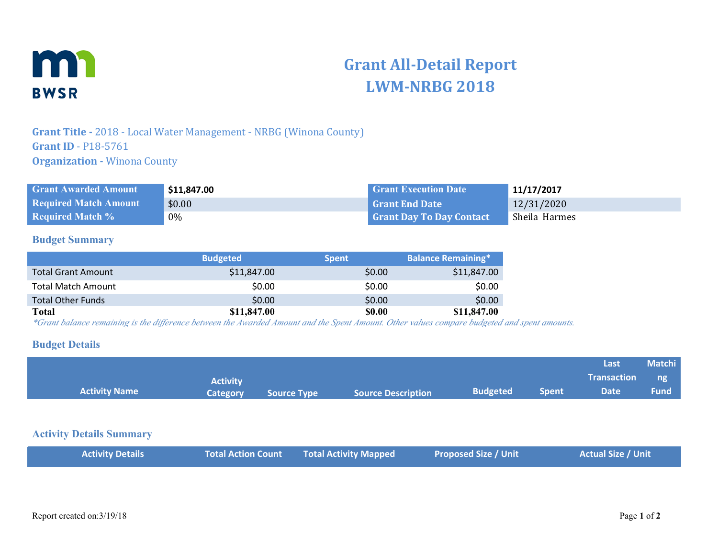

# **Grant All-Detail Report LWM-NRBG 2018**

## **Grant Title -** 2018 - Local Water Management - NRBG (Winona County) **Grant ID** - P18-5761 **Organization - Winona County**

| <b>Grant Awarded Amount</b>  | \$11,847.00 | <b>Grant Execution Date</b>     | 11/17/2017    |
|------------------------------|-------------|---------------------------------|---------------|
| <b>Required Match Amount</b> | \$0.00      | <b>Grant End Date</b>           | 12/31/2020    |
| <b>Required Match %</b>      | $0\%$       | <b>Grant Day To Day Contact</b> | Sheila Harmes |

#### **Budget Summary**

|                           | <b>Budgeted</b> | <b>Spent</b> | <b>Balance Remaining*</b> |
|---------------------------|-----------------|--------------|---------------------------|
| <b>Total Grant Amount</b> | \$11,847.00     | \$0.00       | \$11,847.00               |
| <b>Total Match Amount</b> | \$0.00          | \$0.00       | \$0.00                    |
| <b>Total Other Funds</b>  | \$0.00          | \$0.00       | \$0.00                    |
| <b>Total</b>              | \$11,847.00     | \$0.00       | \$11,847.00               |

*\*Grant balance remaining is the difference between the Awarded Amount and the Spent Amount. Other values compare budgeted and spent amounts.*

#### **Budget Details**

|                      |                 |                    |                           |                 |       | Last               | <b>Matchi</b> |
|----------------------|-----------------|--------------------|---------------------------|-----------------|-------|--------------------|---------------|
|                      | <b>Activity</b> |                    |                           |                 |       | <b>Transaction</b> | $\Box$ ng     |
| <b>Activity Name</b> | Category        | <b>Source Type</b> | <b>Source Description</b> | <b>Budgeted</b> | Spent | <b>Date</b>        | <b>Fund</b>   |

#### **Activity Details Summary**

|--|